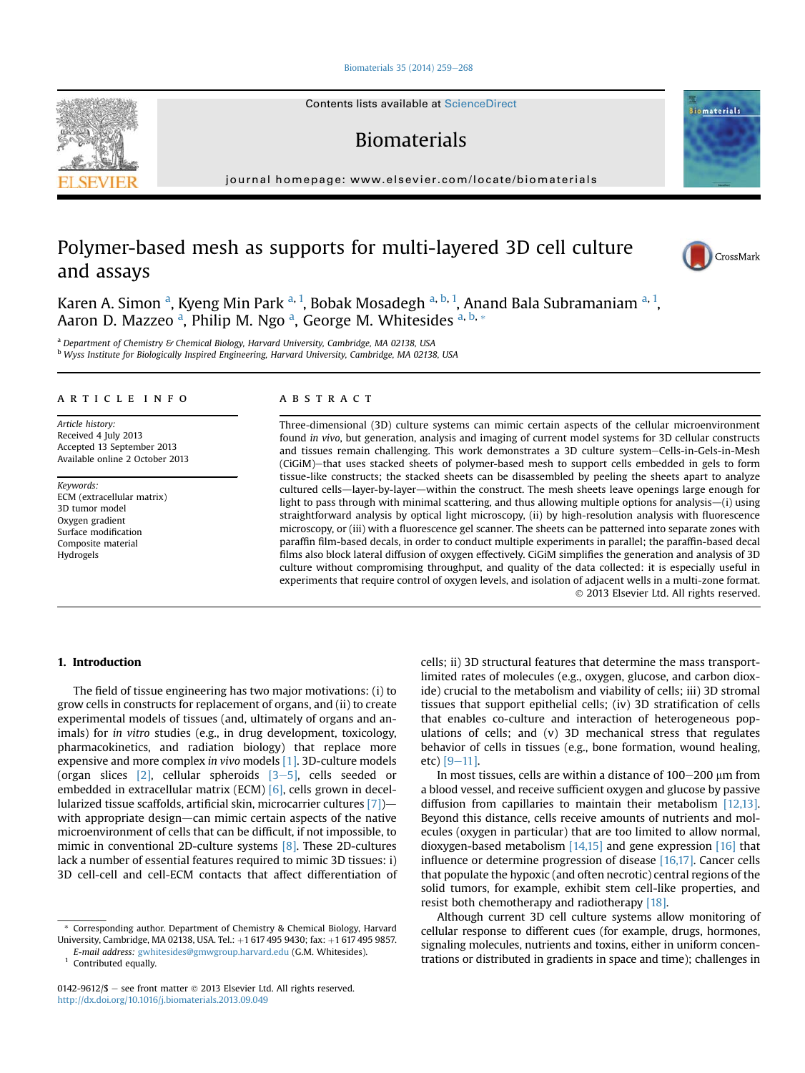#### [Biomaterials 35 \(2014\) 259](http://dx.doi.org/10.1016/j.biomaterials.2013.09.049)-[268](http://dx.doi.org/10.1016/j.biomaterials.2013.09.049)

Contents lists available at ScienceDirect

# Biomaterials

journal homepage: [www.elsevier.com/locate/biomaterials](http://www.elsevier.com/locate/biomaterials)

# Polymer-based mesh as supports for multi-layered 3D cell culture and assays

Karen A. Simon <sup>a</sup>, Kyeng Min Park <sup>a, 1</sup>, Bobak Mosadegh <sup>a, b, 1</sup>, Anand Bala Subramaniam <sup>a, 1</sup>, Aaron D. Mazzeo <sup>a</sup>, Philip M. Ngo <sup>a</sup>, George M. Whitesides <sup>a, b,</sup> \*

<sup>a</sup> Department of Chemistry & Chemical Biology, Harvard University, Cambridge, MA 02138, USA

<sup>b</sup> Wyss Institute for Biologically Inspired Engineering, Harvard University, Cambridge, MA 02138, USA

## article info

Article history: Received 4 July 2013 Accepted 13 September 2013 Available online 2 October 2013

Keywords: ECM (extracellular matrix) 3D tumor model Oxygen gradient Surface modification Composite material Hydrogels

# **ABSTRACT**

Three-dimensional (3D) culture systems can mimic certain aspects of the cellular microenvironment found in vivo, but generation, analysis and imaging of current model systems for 3D cellular constructs and tissues remain challenging. This work demonstrates a 3D culture system-Cells-in-Gels-in-Mesh (CiGiM)-that uses stacked sheets of polymer-based mesh to support cells embedded in gels to form tissue-like constructs; the stacked sheets can be disassembled by peeling the sheets apart to analyze cultured cells—layer-by-layer—within the construct. The mesh sheets leave openings large enough for light to pass through with minimal scattering, and thus allowing multiple options for analysis—(i) using straightforward analysis by optical light microscopy, (ii) by high-resolution analysis with fluorescence microscopy, or (iii) with a fluorescence gel scanner. The sheets can be patterned into separate zones with paraffin film-based decals, in order to conduct multiple experiments in parallel; the paraffin-based decal films also block lateral diffusion of oxygen effectively. CiGiM simplifies the generation and analysis of 3D culture without compromising throughput, and quality of the data collected: it is especially useful in experiments that require control of oxygen levels, and isolation of adjacent wells in a multi-zone format. 2013 Elsevier Ltd. All rights reserved.

# 1. Introduction

The field of tissue engineering has two major motivations: (i) to grow cells in constructs for replacement of organs, and (ii) to create experimental models of tissues (and, ultimately of organs and animals) for in vitro studies (e.g., in drug development, toxicology, pharmacokinetics, and radiation biology) that replace more expensive and more complex in vivo models [\[1\].](#page-9-0) 3D-culture models (organ slices  $[2]$ , cellular spheroids  $[3-5]$  $[3-5]$  $[3-5]$ , cells seeded or embedded in extracellular matrix (ECM) [\[6\]](#page-9-0), cells grown in decellularized tissue scaffolds, artificial skin, microcarrier cultures  $[7]$ with appropriate design—can mimic certain aspects of the native microenvironment of cells that can be difficult, if not impossible, to mimic in conventional 2D-culture systems [\[8\]](#page-9-0). These 2D-cultures lack a number of essential features required to mimic 3D tissues: i) 3D cell-cell and cell-ECM contacts that affect differentiation of

\* Corresponding author. Department of Chemistry & Chemical Biology, Harvard University, Cambridge, MA 02138, USA. Tel.: +1 617 495 9430; fax: +1 617 495 9857.

E-mail address: [gwhitesides@gmwgroup.harvard.edu](mailto:gwhitesides@gmwgroup.harvard.edu) (G.M. Whitesides).

<sup>1</sup> Contributed equally.

cells; ii) 3D structural features that determine the mass transportlimited rates of molecules (e.g., oxygen, glucose, and carbon dioxide) crucial to the metabolism and viability of cells; iii) 3D stromal tissues that support epithelial cells; (iv) 3D stratification of cells that enables co-culture and interaction of heterogeneous populations of cells; and (v) 3D mechanical stress that regulates behavior of cells in tissues (e.g., bone formation, wound healing, etc)  $[9-11]$  $[9-11]$  $[9-11]$ .

In most tissues, cells are within a distance of  $100-200$  µm from a blood vessel, and receive sufficient oxygen and glucose by passive diffusion from capillaries to maintain their metabolism [\[12,13\].](#page-9-0) Beyond this distance, cells receive amounts of nutrients and molecules (oxygen in particular) that are too limited to allow normal, dioxygen-based metabolism  $[14,15]$  and gene expression  $[16]$  that influence or determine progression of disease [\[16,17\]](#page-9-0). Cancer cells that populate the hypoxic (and often necrotic) central regions of the solid tumors, for example, exhibit stem cell-like properties, and resist both chemotherapy and radiotherapy [\[18\]](#page-9-0).

Although current 3D cell culture systems allow monitoring of cellular response to different cues (for example, drugs, hormones, signaling molecules, nutrients and toxins, either in uniform concentrations or distributed in gradients in space and time); challenges in





**Biomaterials** 

<sup>0142-9612/\$</sup>  $-$  see front matter  $\odot$  2013 Elsevier Ltd. All rights reserved. <http://dx.doi.org/10.1016/j.biomaterials.2013.09.049>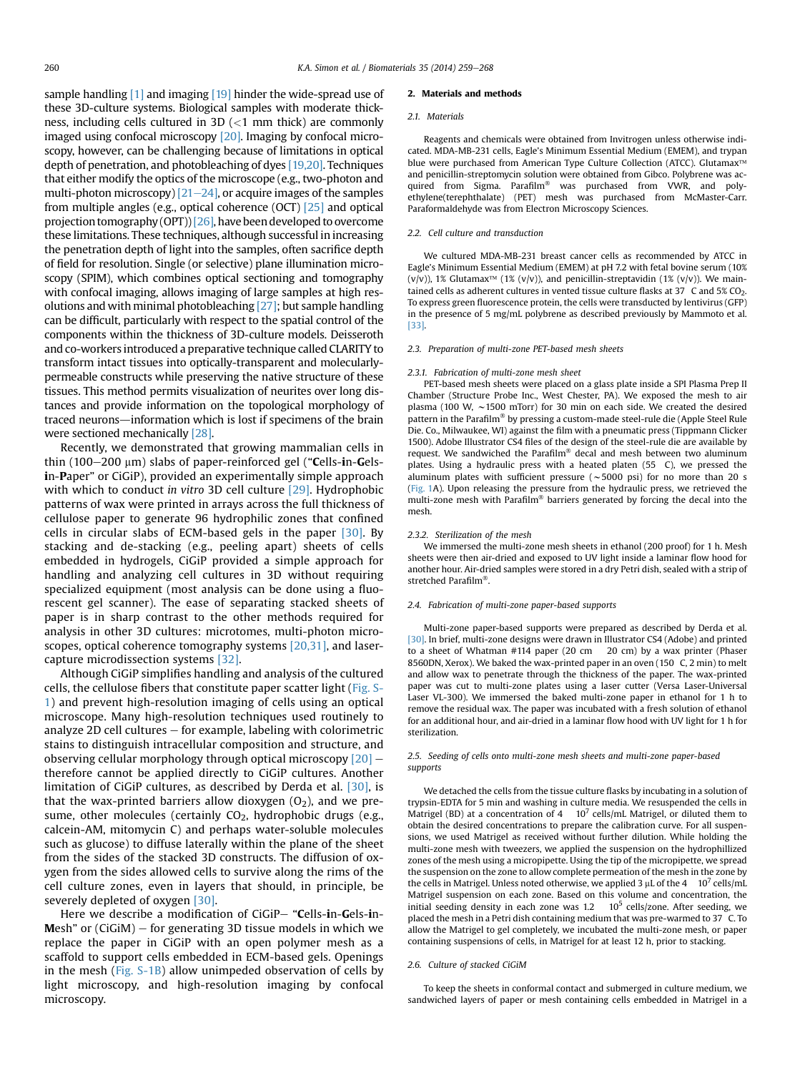sample handling  $\left[1\right]$  and imaging  $\left[19\right]$  hinder the wide-spread use of these 3D-culture systems. Biological samples with moderate thickness, including cells cultured in 3D (<1 mm thick) are commonly imaged using confocal microscopy [\[20\].](#page-9-0) Imaging by confocal microscopy, however, can be challenging because of limitations in optical depth of penetration, and photobleaching of dyes [\[19,20\].](#page-9-0) Techniques that either modify the optics of the microscope (e.g., two-photon and multi-photon microscopy)  $[21–24]$  $[21–24]$  $[21–24]$ , or acquire images of the samples from multiple angles (e.g., optical coherence (OCT) [\[25\]](#page-9-0) and optical projection tomography (OPT))[\[26\]](#page-9-0), have been developed to overcome these limitations. These techniques, although successful in increasing the penetration depth of light into the samples, often sacrifice depth of field for resolution. Single (or selective) plane illumination microscopy (SPIM), which combines optical sectioning and tomography with confocal imaging, allows imaging of large samples at high resolutions and with minimal photobleaching [\[27\];](#page-9-0) but sample handling can be difficult, particularly with respect to the spatial control of the components within the thickness of 3D-culture models. Deisseroth and co-workers introduced a preparative technique called CLARITY to transform intact tissues into optically-transparent and molecularlypermeable constructs while preserving the native structure of these tissues. This method permits visualization of neurites over long distances and provide information on the topological morphology of traced neurons—information which is lost if specimens of the brain were sectioned mechanically [\[28\].](#page-9-0)

Recently, we demonstrated that growing mammalian cells in thin (100 $-200 \mu m$ ) slabs of paper-reinforced gel ("Cells-in-Gelsin-Paper" or CiGiP), provided an experimentally simple approach with which to conduct in vitro 3D cell culture [\[29\]](#page-9-0). Hydrophobic patterns of wax were printed in arrays across the full thickness of cellulose paper to generate 96 hydrophilic zones that confined cells in circular slabs of ECM-based gels in the paper [\[30\]](#page-9-0). By stacking and de-stacking (e.g., peeling apart) sheets of cells embedded in hydrogels, CiGiP provided a simple approach for handling and analyzing cell cultures in 3D without requiring specialized equipment (most analysis can be done using a fluorescent gel scanner). The ease of separating stacked sheets of paper is in sharp contrast to the other methods required for analysis in other 3D cultures: microtomes, multi-photon microscopes, optical coherence tomography systems [\[20,31\],](#page-9-0) and lasercapture microdissection systems [\[32\].](#page-9-0)

Although CiGiP simplifies handling and analysis of the cultured cells, the cellulose fibers that constitute paper scatter light (Fig. S-1) and prevent high-resolution imaging of cells using an optical microscope. Many high-resolution techniques used routinely to analyze 2D cell cultures  $-$  for example, labeling with colorimetric stains to distinguish intracellular composition and structure, and observing cellular morphology through optical microscopy  $[20]$  therefore cannot be applied directly to CiGiP cultures. Another limitation of CiGiP cultures, as described by Derda et al. [\[30\],](#page-9-0) is that the wax-printed barriers allow dioxygen  $(0<sub>2</sub>)$ , and we presume, other molecules (certainly CO<sub>2</sub>, hydrophobic drugs (e.g., calcein-AM, mitomycin C) and perhaps water-soluble molecules such as glucose) to diffuse laterally within the plane of the sheet from the sides of the stacked 3D constructs. The diffusion of oxygen from the sides allowed cells to survive along the rims of the cell culture zones, even in layers that should, in principle, be severely depleted of oxygen [\[30\]](#page-9-0).

Here we describe a modification of CiGiP- "Cells-in-Gels-in-Mesh" or  $(CiGiM)$  – for generating 3D tissue models in which we replace the paper in CiGiP with an open polymer mesh as a scaffold to support cells embedded in ECM-based gels. Openings in the mesh (Fig. S-1B) allow unimpeded observation of cells by light microscopy, and high-resolution imaging by confocal microscopy.

#### 2. Materials and methods

#### 2.1. Materials

Reagents and chemicals were obtained from Invitrogen unless otherwise indicated. MDA-MB-231 cells, Eagle's Minimum Essential Medium (EMEM), and trypan blue were purchased from American Type Culture Collection (ATCC). Glutamax<sup>™</sup> and penicillin-streptomycin solution were obtained from Gibco. Polybrene was acquired from Sigma. Parafilm<sup>®</sup> was purchased from VWR, and polyethylene(terephthalate) (PET) mesh was purchased from McMaster-Carr. Paraformaldehyde was from Electron Microscopy Sciences.

#### 2.2. Cell culture and transduction

We cultured MDA-MB-231 breast cancer cells as recommended by ATCC in Eagle's Minimum Essential Medium (EMEM) at pH 7.2 with fetal bovine serum (10%  $(v/v)$ ), 1% Glutamax<sup>TM</sup> (1%  $(v/v)$ ), and penicillin-streptavidin (1%  $(v/v)$ ). We maintained cells as adherent cultures in vented tissue culture flasks at  $37$  C and  $5\%$  CO<sub>2</sub>. To express green fluorescence protein, the cells were transducted by lentivirus (GFP) in the presence of 5 mg/mL polybrene as described previously by Mammoto et al. [\[33\]](#page-9-0).

#### 2.3. Preparation of multi-zone PET-based mesh sheets

#### 2.3.1. Fabrication of multi-zone mesh sheet

PET-based mesh sheets were placed on a glass plate inside a SPI Plasma Prep II Chamber (Structure Probe Inc., West Chester, PA). We exposed the mesh to air plasma (100 W,  $\sim$ 1500 mTorr) for 30 min on each side. We created the desired pattern in the Parafilm<sup>®</sup> by pressing a custom-made steel-rule die (Apple Steel Rule Die. Co., Milwaukee, WI) against the film with a pneumatic press (Tippmann Clicker 1500). Adobe Illustrator CS4 files of the design of the steel-rule die are available by request. We sandwiched the Parafilm® decal and mesh between two aluminum plates. Using a hydraulic press with a heated platen (55 C), we pressed the aluminum plates with sufficient pressure  $(-5000 \text{ psi})$  for no more than 20 s [\(Fig. 1](#page-2-0)A). Upon releasing the pressure from the hydraulic press, we retrieved the multi-zone mesh with Parafilm® barriers generated by forcing the decal into the mesh.

#### 2.3.2. Sterilization of the mesh

We immersed the multi-zone mesh sheets in ethanol (200 proof) for 1 h. Mesh sheets were then air-dried and exposed to UV light inside a laminar flow hood for another hour. Air-dried samples were stored in a dry Petri dish, sealed with a strip of stretched Parafilm<sup>®</sup>.

#### 2.4. Fabrication of multi-zone paper-based supports

Multi-zone paper-based supports were prepared as described by Derda et al. [\[30\]](#page-9-0). In brief, multi-zone designs were drawn in Illustrator CS4 (Adobe) and printed to a sheet of Whatman #114 paper (20 cm 20 cm) by a wax printer (Phaser 8560DN, Xerox). We baked the wax-printed paper in an oven (150 C, 2 min) to melt and allow wax to penetrate through the thickness of the paper. The wax-printed paper was cut to multi-zone plates using a laser cutter (Versa Laser-Universal Laser VL-300). We immersed the baked multi-zone paper in ethanol for 1 h to remove the residual wax. The paper was incubated with a fresh solution of ethanol for an additional hour, and air-dried in a laminar flow hood with UV light for 1 h for sterilization.

#### 2.5. Seeding of cells onto multi-zone mesh sheets and multi-zone paper-based supports

We detached the cells from the tissue culture flasks by incubating in a solution of trypsin-EDTA for 5 min and washing in culture media. We resuspended the cells in Matrigel (BD) at a concentration of  $4 \times 10^7$  cells/mL Matrigel, or diluted them to obtain the desired concentrations to prepare the calibration curve. For all suspensions, we used Matrigel as received without further dilution. While holding the multi-zone mesh with tweezers, we applied the suspension on the hydrophillized zones of the mesh using a micropipette. Using the tip of the micropipette, we spread the suspension on the zone to allow complete permeation of the mesh in the zone by the cells in Matrigel. Unless noted otherwise, we applied 3  $\mu$ L of the 4 10<sup>7</sup> cells/mL Matrigel suspension on each zone. Based on this volume and concentration, the initial seeding density in each zone was  $1.2$  10<sup>5</sup> cells/zone. After seeding, we placed the mesh in a Petri dish containing medium that was pre-warmed to 37 C. To allow the Matrigel to gel completely, we incubated the multi-zone mesh, or paper containing suspensions of cells, in Matrigel for at least 12 h, prior to stacking.

#### 2.6. Culture of stacked CiGiM

To keep the sheets in conformal contact and submerged in culture medium, we sandwiched layers of paper or mesh containing cells embedded in Matrigel in a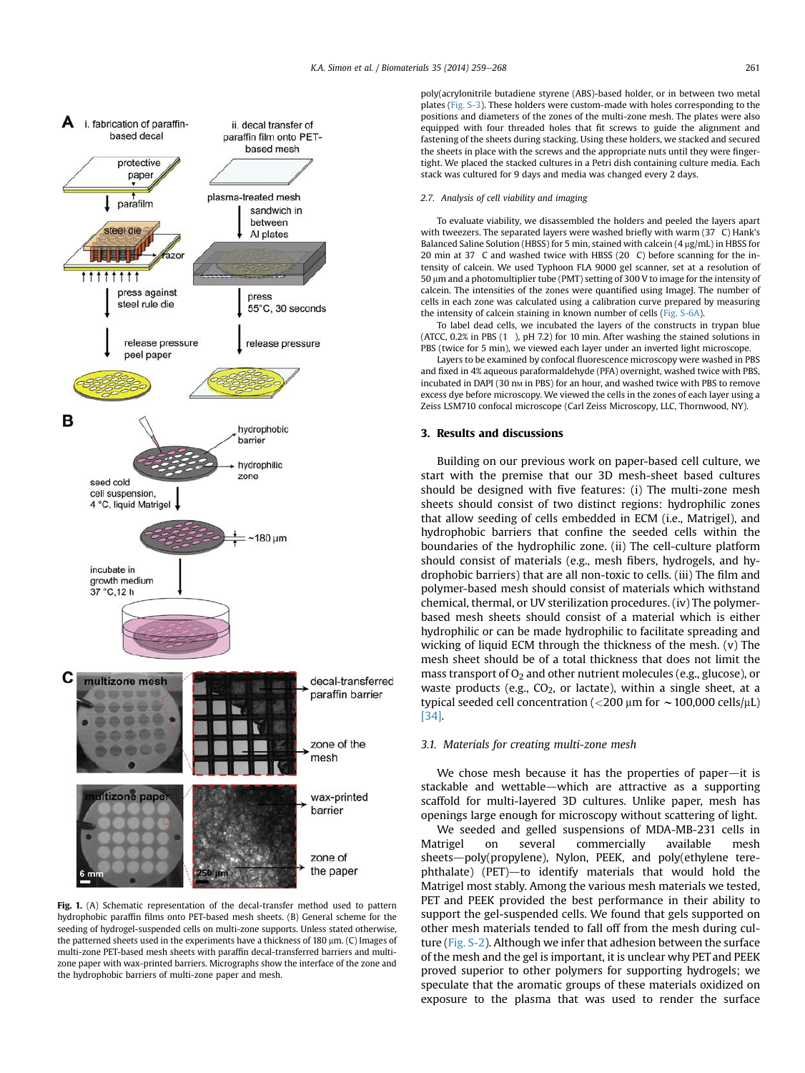<span id="page-2-0"></span>

Fig. 1. (A) Schematic representation of the decal-transfer method used to pattern hydrophobic paraffin films onto PET-based mesh sheets. (B) General scheme for the seeding of hydrogel-suspended cells on multi-zone supports. Unless stated otherwise, the patterned sheets used in the experiments have a thickness of 180  $\mu$ m. (C) Images of multi-zone PET-based mesh sheets with paraffin decal-transferred barriers and multizone paper with wax-printed barriers. Micrographs show the interface of the zone and the hydrophobic barriers of multi-zone paper and mesh.

poly(acrylonitrile butadiene styrene (ABS)-based holder, or in between two metal plates (Fig. S-3). These holders were custom-made with holes corresponding to the positions and diameters of the zones of the multi-zone mesh. The plates were also equipped with four threaded holes that fit screws to guide the alignment and fastening of the sheets during stacking. Using these holders, we stacked and secured the sheets in place with the screws and the appropriate nuts until they were fingertight. We placed the stacked cultures in a Petri dish containing culture media. Each stack was cultured for 9 days and media was changed every 2 days.

### 2.7. Analysis of cell viability and imaging

To evaluate viability, we disassembled the holders and peeled the layers apart with tweezers. The separated layers were washed briefly with warm (37 C) Hank's Balanced Saline Solution (HBSS) for 5 min, stained with calcein (4  $\mu$ g/mL) in HBSS for 20 min at 37 C and washed twice with HBSS (20 C) before scanning for the intensity of calcein. We used Typhoon FLA 9000 gel scanner, set at a resolution of 50  $\mu$ m and a photomultiplier tube (PMT) setting of 300 V to image for the intensity of calcein. The intensities of the zones were quantified using ImageJ. The number of cells in each zone was calculated using a calibration curve prepared by measuring the intensity of calcein staining in known number of cells (Fig. S-6A).

To label dead cells, we incubated the layers of the constructs in trypan blue (ATCC, 0.2% in PBS (1 ), pH 7.2) for 10 min. After washing the stained solutions in PBS (twice for 5 min), we viewed each layer under an inverted light microscope.

Layers to be examined by confocal fluorescence microscopy were washed in PBS and fixed in 4% aqueous paraformaldehyde (PFA) overnight, washed twice with PBS, incubated in DAPI (30 nm in PBS) for an hour, and washed twice with PBS to remove excess dye before microscopy. We viewed the cells in the zones of each layer using a Zeiss LSM710 confocal microscope (Carl Zeiss Microscopy, LLC, Thornwood, NY).

# 3. Results and discussions

Building on our previous work on paper-based cell culture, we start with the premise that our 3D mesh-sheet based cultures should be designed with five features: (i) The multi-zone mesh sheets should consist of two distinct regions: hydrophilic zones that allow seeding of cells embedded in ECM (i.e., Matrigel), and hydrophobic barriers that confine the seeded cells within the boundaries of the hydrophilic zone. (ii) The cell-culture platform should consist of materials (e.g., mesh fibers, hydrogels, and hydrophobic barriers) that are all non-toxic to cells. (iii) The film and polymer-based mesh should consist of materials which withstand chemical, thermal, or UV sterilization procedures. (iv) The polymerbased mesh sheets should consist of a material which is either hydrophilic or can be made hydrophilic to facilitate spreading and wicking of liquid ECM through the thickness of the mesh. (v) The mesh sheet should be of a total thickness that does not limit the mass transport of  $O_2$  and other nutrient molecules (e.g., glucose), or waste products (e.g.,  $CO<sub>2</sub>$ , or lactate), within a single sheet, at a typical seeded cell concentration ( $<$ 200  $\mu$ m for  $\sim$  100,000 cells/ $\mu$ L) [\[34\].](#page-9-0)

# 3.1. Materials for creating multi-zone mesh

We chose mesh because it has the properties of paper-it is stackable and wettable—which are attractive as a supporting scaffold for multi-layered 3D cultures. Unlike paper, mesh has openings large enough for microscopy without scattering of light.

We seeded and gelled suspensions of MDA-MB-231 cells in Matrigel on several commercially available mesh sheets-poly(propylene), Nylon, PEEK, and poly(ethylene tere $phthalate)$  (PET)—to identify materials that would hold the Matrigel most stably. Among the various mesh materials we tested, PET and PEEK provided the best performance in their ability to support the gel-suspended cells. We found that gels supported on other mesh materials tended to fall off from the mesh during culture (Fig. S-2). Although we infer that adhesion between the surface of the mesh and the gel is important, it is unclear why PET and PEEK proved superior to other polymers for supporting hydrogels; we speculate that the aromatic groups of these materials oxidized on exposure to the plasma that was used to render the surface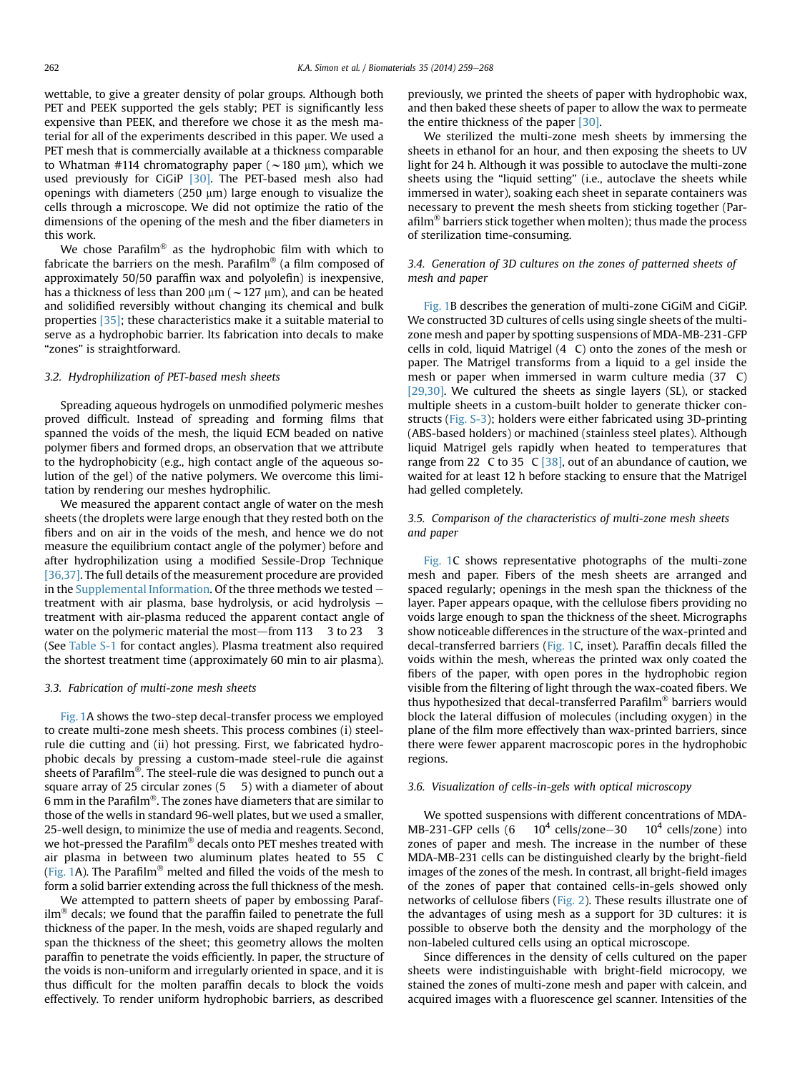wettable, to give a greater density of polar groups. Although both PET and PEEK supported the gels stably; PET is significantly less expensive than PEEK, and therefore we chose it as the mesh material for all of the experiments described in this paper. We used a PET mesh that is commercially available at a thickness comparable to Whatman #114 chromatography paper ( $\sim$ 180 µm), which we used previously for CiGiP <a>[30]</a>. The PET-based mesh also had openings with diameters (250  $\mu$ m) large enough to visualize the cells through a microscope. We did not optimize the ratio of the dimensions of the opening of the mesh and the fiber diameters in this work.

We chose Parafilm<sup>®</sup> as the hydrophobic film with which to fabricate the barriers on the mesh. Parafilm<sup>®</sup> (a film composed of approximately 50/50 paraffin wax and polyolefin) is inexpensive, has a thickness of less than 200  $\mu$ m ( $\sim$ 127  $\mu$ m), and can be heated and solidified reversibly without changing its chemical and bulk properties [\[35\]](#page-9-0); these characteristics make it a suitable material to serve as a hydrophobic barrier. Its fabrication into decals to make "zones" is straightforward.

#### 3.2. Hydrophilization of PET-based mesh sheets

Spreading aqueous hydrogels on unmodified polymeric meshes proved difficult. Instead of spreading and forming films that spanned the voids of the mesh, the liquid ECM beaded on native polymer fibers and formed drops, an observation that we attribute to the hydrophobicity (e.g., high contact angle of the aqueous solution of the gel) of the native polymers. We overcome this limitation by rendering our meshes hydrophilic.

We measured the apparent contact angle of water on the mesh sheets (the droplets were large enough that they rested both on the fibers and on air in the voids of the mesh, and hence we do not measure the equilibrium contact angle of the polymer) before and after hydrophilization using a modified Sessile-Drop Technique [\[36,37\]](#page-9-0). The full details of the measurement procedure are provided in the Supplemental Information. Of the three methods we tested  $$ treatment with air plasma, base hydrolysis, or acid hydrolysis  $$ treatment with air-plasma reduced the apparent contact angle of water on the polymeric material the most—from  $113 \times 3$  to 23  $3$ (See Table S-1 for contact angles). Plasma treatment also required the shortest treatment time (approximately 60 min to air plasma).

#### 3.3. Fabrication of multi-zone mesh sheets

[Fig. 1](#page-2-0)A shows the two-step decal-transfer process we employed to create multi-zone mesh sheets. This process combines (i) steelrule die cutting and (ii) hot pressing. First, we fabricated hydrophobic decals by pressing a custom-made steel-rule die against sheets of Parafilm®. The steel-rule die was designed to punch out a square array of 25 circular zones  $(5 \quad 5)$  with a diameter of about 6 mm in the Parafilm<sup>®</sup>. The zones have diameters that are similar to those of the wells in standard 96-well plates, but we used a smaller, 25-well design, to minimize the use of media and reagents. Second, we hot-pressed the Parafilm<sup>®</sup> decals onto PET meshes treated with air plasma in between two aluminum plates heated to 55 C ([Fig. 1](#page-2-0)A). The Parafilm<sup>®</sup> melted and filled the voids of the mesh to form a solid barrier extending across the full thickness of the mesh.

We attempted to pattern sheets of paper by embossing Paraf- $\lim$ <sup>®</sup> decals; we found that the paraffin failed to penetrate the full thickness of the paper. In the mesh, voids are shaped regularly and span the thickness of the sheet; this geometry allows the molten paraffin to penetrate the voids efficiently. In paper, the structure of the voids is non-uniform and irregularly oriented in space, and it is thus difficult for the molten paraffin decals to block the voids effectively. To render uniform hydrophobic barriers, as described previously, we printed the sheets of paper with hydrophobic wax, and then baked these sheets of paper to allow the wax to permeate the entire thickness of the paper [\[30\].](#page-9-0)

We sterilized the multi-zone mesh sheets by immersing the sheets in ethanol for an hour, and then exposing the sheets to UV light for 24 h. Although it was possible to autoclave the multi-zone sheets using the "liquid setting" (i.e., autoclave the sheets while immersed in water), soaking each sheet in separate containers was necessary to prevent the mesh sheets from sticking together (Parafilm $\delta$  barriers stick together when molten); thus made the process of sterilization time-consuming.

# 3.4. Generation of 3D cultures on the zones of patterned sheets of mesh and paper

[Fig. 1](#page-2-0)B describes the generation of multi-zone CiGiM and CiGiP. We constructed 3D cultures of cells using single sheets of the multizone mesh and paper by spotting suspensions of MDA-MB-231-GFP cells in cold, liquid Matrigel (4 C) onto the zones of the mesh or paper. The Matrigel transforms from a liquid to a gel inside the mesh or paper when immersed in warm culture media (37 C) [\[29,30\].](#page-9-0) We cultured the sheets as single layers (SL), or stacked multiple sheets in a custom-built holder to generate thicker constructs (Fig. S-3); holders were either fabricated using 3D-printing (ABS-based holders) or machined (stainless steel plates). Although liquid Matrigel gels rapidly when heated to temperatures that range from 22 C to 35 C  $[38]$ , out of an abundance of caution, we waited for at least 12 h before stacking to ensure that the Matrigel had gelled completely.

# 3.5. Comparison of the characteristics of multi-zone mesh sheets and paper

[Fig. 1](#page-2-0)C shows representative photographs of the multi-zone mesh and paper. Fibers of the mesh sheets are arranged and spaced regularly; openings in the mesh span the thickness of the layer. Paper appears opaque, with the cellulose fibers providing no voids large enough to span the thickness of the sheet. Micrographs show noticeable differences in the structure of the wax-printed and decal-transferred barriers ([Fig. 1C](#page-2-0), inset). Paraffin decals filled the voids within the mesh, whereas the printed wax only coated the fibers of the paper, with open pores in the hydrophobic region visible from the filtering of light through the wax-coated fibers. We thus hypothesized that decal-transferred Parafilm<sup>®</sup> barriers would block the lateral diffusion of molecules (including oxygen) in the plane of the film more effectively than wax-printed barriers, since there were fewer apparent macroscopic pores in the hydrophobic regions.

#### 3.6. Visualization of cells-in-gels with optical microscopy

We spotted suspensions with different concentrations of MDA-MB-231-GFP cells  $(6 \t10^4 \text{ cells/zone} - 30 \t10^4 \text{ cells/zone})$  into zones of paper and mesh. The increase in the number of these MDA-MB-231 cells can be distinguished clearly by the bright-field images of the zones of the mesh. In contrast, all bright-field images of the zones of paper that contained cells-in-gels showed only networks of cellulose fibers [\(Fig. 2\)](#page-4-0). These results illustrate one of the advantages of using mesh as a support for 3D cultures: it is possible to observe both the density and the morphology of the non-labeled cultured cells using an optical microscope.

Since differences in the density of cells cultured on the paper sheets were indistinguishable with bright-field microcopy, we stained the zones of multi-zone mesh and paper with calcein, and acquired images with a fluorescence gel scanner. Intensities of the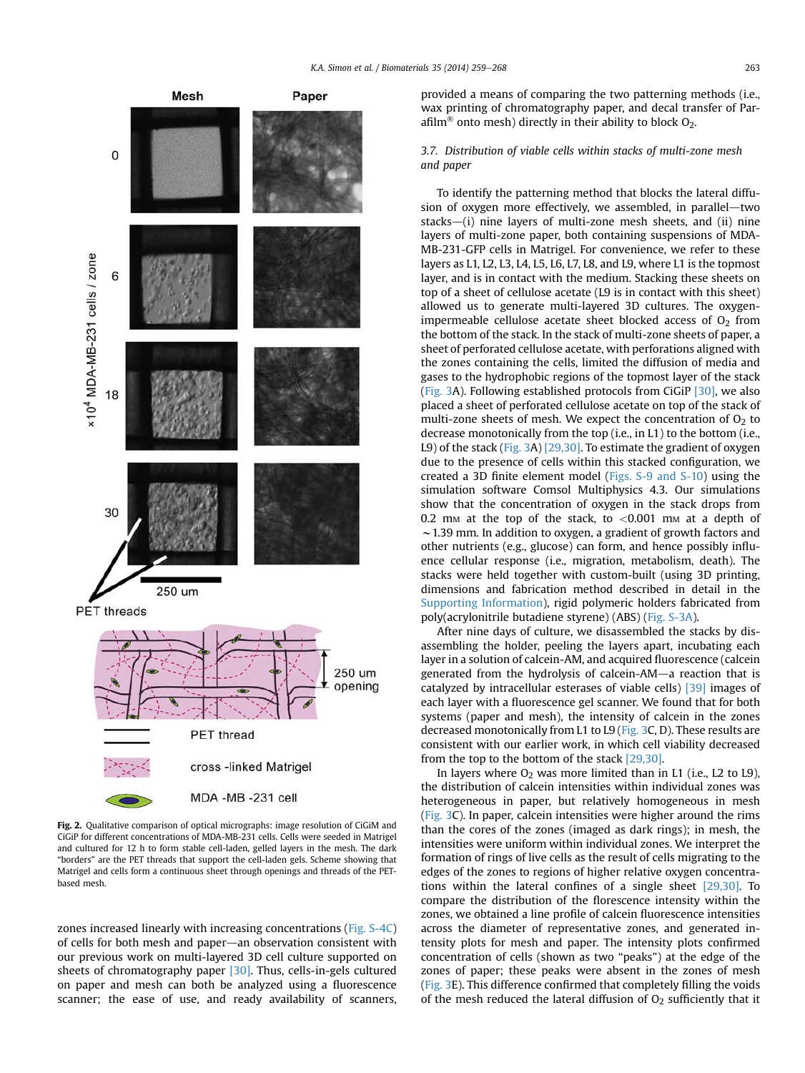<span id="page-4-0"></span>

Fig. 2. Qualitative comparison of optical micrographs: image resolution of CiGiM and CiGiP for different concentrations of MDA-MB-231 cells. Cells were seeded in Matrigel and cultured for 12 h to form stable cell-laden, gelled layers in the mesh. The dark "borders" are the PET threads that support the cell-laden gels. Scheme showing that Matrigel and cells form a continuous sheet through openings and threads of the PETbased mesh.

zones increased linearly with increasing concentrations (Fig. S-4C) of cells for both mesh and paper-an observation consistent with our previous work on multi-layered 3D cell culture supported on sheets of chromatography paper [\[30\]](#page-9-0). Thus, cells-in-gels cultured on paper and mesh can both be analyzed using a fluorescence scanner; the ease of use, and ready availability of scanners, provided a means of comparing the two patterning methods (i.e., wax printing of chromatography paper, and decal transfer of Parafilm<sup>®</sup> onto mesh) directly in their ability to block  $O_2$ .

# 3.7. Distribution of viable cells within stacks of multi-zone mesh and paper

To identify the patterning method that blocks the lateral diffusion of oxygen more effectively, we assembled, in parallel—two stacks $-(i)$  nine layers of multi-zone mesh sheets, and (ii) nine layers of multi-zone paper, both containing suspensions of MDA-MB-231-GFP cells in Matrigel. For convenience, we refer to these layers as L1, L2, L3, L4, L5, L6, L7, L8, and L9, where L1 is the topmost layer, and is in contact with the medium. Stacking these sheets on top of a sheet of cellulose acetate (L9 is in contact with this sheet) allowed us to generate multi-layered 3D cultures. The oxygenimpermeable cellulose acetate sheet blocked access of  $O<sub>2</sub>$  from the bottom of the stack. In the stack of multi-zone sheets of paper, a sheet of perforated cellulose acetate, with perforations aligned with the zones containing the cells, limited the diffusion of media and gases to the hydrophobic regions of the topmost layer of the stack ([Fig. 3A](#page-5-0)). Following established protocols from CiGiP [\[30\]](#page-9-0), we also placed a sheet of perforated cellulose acetate on top of the stack of multi-zone sheets of mesh. We expect the concentration of  $O<sub>2</sub>$  to decrease monotonically from the top (i.e., in L1) to the bottom (i.e., L9) of the stack [\(Fig. 3A](#page-5-0)) [\[29,30\].](#page-9-0) To estimate the gradient of oxygen due to the presence of cells within this stacked configuration, we created a 3D finite element model (Figs. S-9 and S-10) using the simulation software Comsol Multiphysics 4.3. Our simulations show that the concentration of oxygen in the stack drops from 0.2 mm at the top of the stack, to  $< 0.001$  mm at a depth of  $\sim$  1.39 mm. In addition to oxygen, a gradient of growth factors and other nutrients (e.g., glucose) can form, and hence possibly influence cellular response (i.e., migration, metabolism, death). The stacks were held together with custom-built (using 3D printing, dimensions and fabrication method described in detail in the Supporting Information), rigid polymeric holders fabricated from poly(acrylonitrile butadiene styrene) (ABS) (Fig. S-3A).

After nine days of culture, we disassembled the stacks by disassembling the holder, peeling the layers apart, incubating each layer in a solution of calcein-AM, and acquired fluorescence (calcein generated from the hydrolysis of calcein-AM-a reaction that is catalyzed by intracellular esterases of viable cells) [\[39\]](#page-9-0) images of each layer with a fluorescence gel scanner. We found that for both systems (paper and mesh), the intensity of calcein in the zones decreased monotonically from L1 to L9 [\(Fig. 3](#page-5-0)C, D). These results are consistent with our earlier work, in which cell viability decreased from the top to the bottom of the stack [\[29,30\].](#page-9-0)

In layers where  $O_2$  was more limited than in L1 (i.e., L2 to L9), the distribution of calcein intensities within individual zones was heterogeneous in paper, but relatively homogeneous in mesh ([Fig. 3C](#page-5-0)). In paper, calcein intensities were higher around the rims than the cores of the zones (imaged as dark rings); in mesh, the intensities were uniform within individual zones. We interpret the formation of rings of live cells as the result of cells migrating to the edges of the zones to regions of higher relative oxygen concentrations within the lateral confines of a single sheet [\[29,30\]](#page-9-0). To compare the distribution of the florescence intensity within the zones, we obtained a line profile of calcein fluorescence intensities across the diameter of representative zones, and generated intensity plots for mesh and paper. The intensity plots confirmed concentration of cells (shown as two "peaks") at the edge of the zones of paper; these peaks were absent in the zones of mesh ([Fig. 3](#page-5-0)E). This difference confirmed that completely filling the voids of the mesh reduced the lateral diffusion of  $O<sub>2</sub>$  sufficiently that it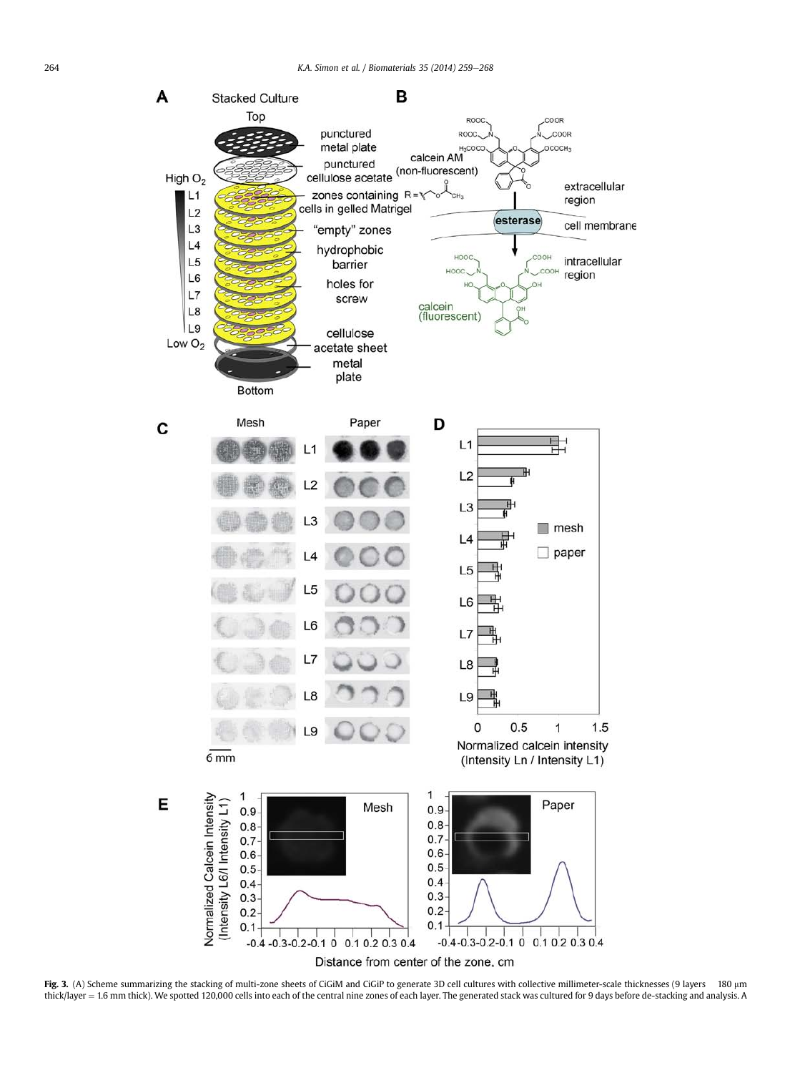<span id="page-5-0"></span>

Fig. 3. (A) Scheme summarizing the stacking of multi-zone sheets of CiGiM and CiGiP to generate 3D cell cultures with collective millimeter-scale thicknesses (9 layers 180 µm thick/layer ¼ 1.6 mm thick). We spotted 120,000 cells into each of the central nine zones of each layer. The generated stack was cultured for 9 days before de-stacking and analysis. A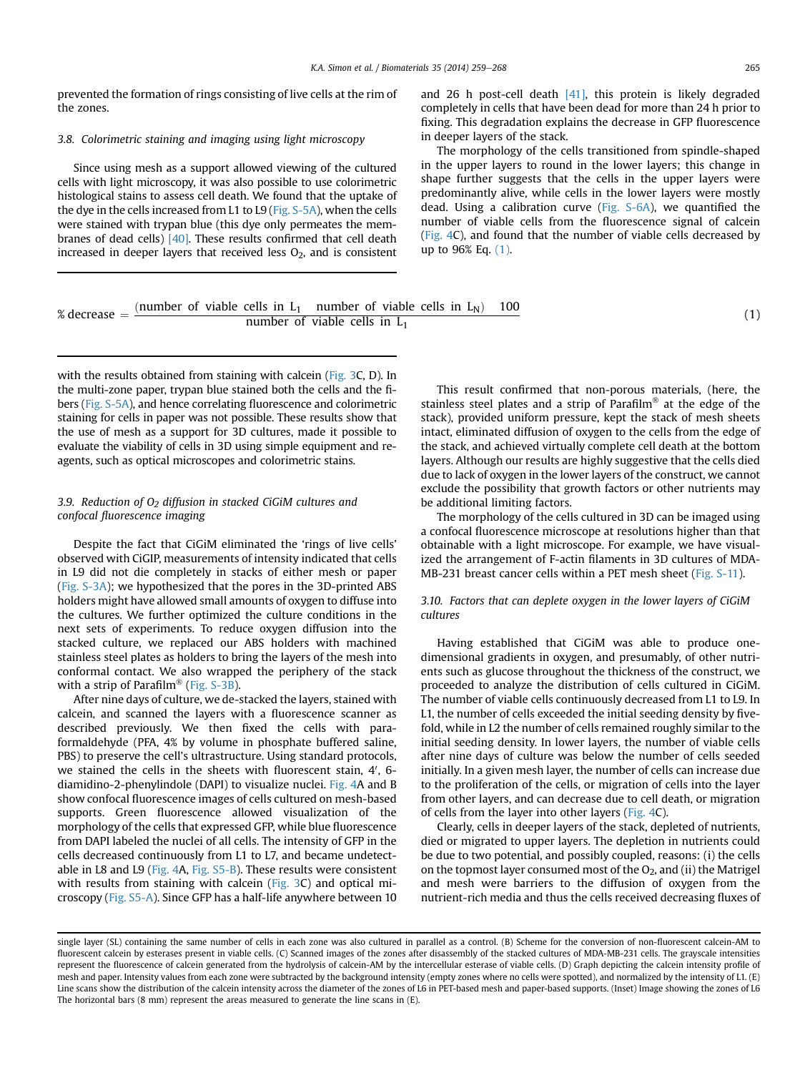prevented the formation of rings consisting of live cells at the rim of the zones.

## 3.8. Colorimetric staining and imaging using light microscopy

Since using mesh as a support allowed viewing of the cultured cells with light microscopy, it was also possible to use colorimetric histological stains to assess cell death. We found that the uptake of the dye in the cells increased from L1 to L9 (Fig. S-5A), when the cells were stained with trypan blue (this dye only permeates the membranes of dead cells) [\[40\].](#page-9-0) These results confirmed that cell death increased in deeper layers that received less  $O_2$ , and is consistent

and 26 h post-cell death  $[41]$ , this protein is likely degraded completely in cells that have been dead for more than 24 h prior to fixing. This degradation explains the decrease in GFP fluorescence in deeper layers of the stack.

The morphology of the cells transitioned from spindle-shaped in the upper layers to round in the lower layers; this change in shape further suggests that the cells in the upper layers were predominantly alive, while cells in the lower layers were mostly dead. Using a calibration curve (Fig. S-6A), we quantified the number of viable cells from the fluorescence signal of calcein (Fig. 4C), and found that the number of viable cells decreased by up to 96% Eq. (1).

| % decrease $=$ (number of viable cells in L <sub>1</sub> number of viable cells in L <sub>N</sub> ) 100 |                                 |  |  |  |  |  |  |
|---------------------------------------------------------------------------------------------------------|---------------------------------|--|--|--|--|--|--|
|                                                                                                         | number of viable cells in $L_1$ |  |  |  |  |  |  |

with the results obtained from staining with calcein ([Fig. 3C](#page-5-0), D). In the multi-zone paper, trypan blue stained both the cells and the fibers (Fig. S-5A), and hence correlating fluorescence and colorimetric staining for cells in paper was not possible. These results show that the use of mesh as a support for 3D cultures, made it possible to evaluate the viability of cells in 3D using simple equipment and reagents, such as optical microscopes and colorimetric stains.

# 3.9. Reduction of  $O<sub>2</sub>$  diffusion in stacked CiGiM cultures and confocal fluorescence imaging

Despite the fact that CiGiM eliminated the 'rings of live cells' observed with CiGIP, measurements of intensity indicated that cells in L9 did not die completely in stacks of either mesh or paper (Fig. S-3A); we hypothesized that the pores in the 3D-printed ABS holders might have allowed small amounts of oxygen to diffuse into the cultures. We further optimized the culture conditions in the next sets of experiments. To reduce oxygen diffusion into the stacked culture, we replaced our ABS holders with machined stainless steel plates as holders to bring the layers of the mesh into conformal contact. We also wrapped the periphery of the stack with a strip of Parafilm® (Fig.  $S-3B$ ).

After nine days of culture, we de-stacked the layers, stained with calcein, and scanned the layers with a fluorescence scanner as described previously. We then fixed the cells with paraformaldehyde (PFA, 4% by volume in phosphate buffered saline, PBS) to preserve the cell's ultrastructure. Using standard protocols, we stained the cells in the sheets with fluorescent stain, 4', 6diamidino-2-phenylindole (DAPI) to visualize nuclei. Fig. 4A and B show confocal fluorescence images of cells cultured on mesh-based supports. Green fluorescence allowed visualization of the morphology of the cells that expressed GFP, while blue fluorescence from DAPI labeled the nuclei of all cells. The intensity of GFP in the cells decreased continuously from L1 to L7, and became undetectable in L8 and L9 (Fig. 4A, Fig. S5-B). These results were consistent with results from staining with calcein [\(Fig. 3](#page-5-0)C) and optical microscopy (Fig. S5-A). Since GFP has a half-life anywhere between 10

This result confirmed that non-porous materials, (here, the stainless steel plates and a strip of Parafilm<sup>®</sup> at the edge of the stack), provided uniform pressure, kept the stack of mesh sheets intact, eliminated diffusion of oxygen to the cells from the edge of the stack, and achieved virtually complete cell death at the bottom layers. Although our results are highly suggestive that the cells died due to lack of oxygen in the lower layers of the construct, we cannot exclude the possibility that growth factors or other nutrients may be additional limiting factors.

The morphology of the cells cultured in 3D can be imaged using a confocal fluorescence microscope at resolutions higher than that obtainable with a light microscope. For example, we have visualized the arrangement of F-actin filaments in 3D cultures of MDA-MB-231 breast cancer cells within a PET mesh sheet (Fig. S-11).

# 3.10. Factors that can deplete oxygen in the lower layers of CiGiM cultures

Having established that CiGiM was able to produce onedimensional gradients in oxygen, and presumably, of other nutrients such as glucose throughout the thickness of the construct, we proceeded to analyze the distribution of cells cultured in CiGiM. The number of viable cells continuously decreased from L1 to L9. In L1, the number of cells exceeded the initial seeding density by fivefold, while in L2 the number of cells remained roughly similar to the initial seeding density. In lower layers, the number of viable cells after nine days of culture was below the number of cells seeded initially. In a given mesh layer, the number of cells can increase due to the proliferation of the cells, or migration of cells into the layer from other layers, and can decrease due to cell death, or migration of cells from the layer into other layers (Fig. 4C).

Clearly, cells in deeper layers of the stack, depleted of nutrients, died or migrated to upper layers. The depletion in nutrients could be due to two potential, and possibly coupled, reasons: (i) the cells on the topmost layer consumed most of the  $O_2$ , and (ii) the Matrigel and mesh were barriers to the diffusion of oxygen from the nutrient-rich media and thus the cells received decreasing fluxes of

(1)

single layer (SL) containing the same number of cells in each zone was also cultured in parallel as a control. (B) Scheme for the conversion of non-fluorescent calcein-AM to fluorescent calcein by esterases present in viable cells. (C) Scanned images of the zones after disassembly of the stacked cultures of MDA-MB-231 cells. The grayscale intensities represent the fluorescence of calcein generated from the hydrolysis of calcein-AM by the intercellular esterase of viable cells. (D) Graph depicting the calcein intensity profile of mesh and paper. Intensity values from each zone were subtracted by the background intensity (empty zones where no cells were spotted), and normalized by the intensity of L1. (E) Line scans show the distribution of the calcein intensity across the diameter of the zones of L6 in PET-based mesh and paper-based supports. (Inset) Image showing the zones of L6 The horizontal bars (8 mm) represent the areas measured to generate the line scans in (E).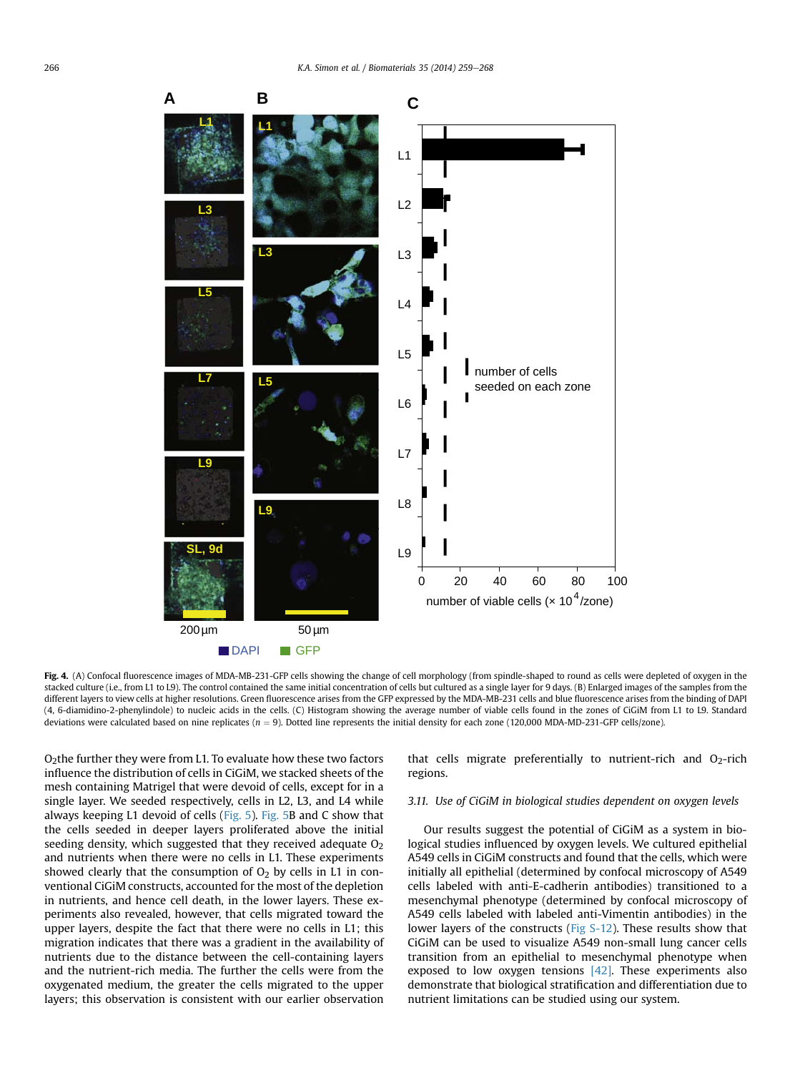

Fig. 4. (A) Confocal fluorescence images of MDA-MB-231-GFP cells showing the change of cell morphology (from spindle-shaped to round as cells were depleted of oxygen in the stacked culture (i.e., from L1 to L9). The control contained the same initial concentration of cells but cultured as a single layer for 9 days. (B) Enlarged images of the samples from the different layers to view cells at higher resolutions. Green fluorescence arises from the GFP expressed by the MDA-MB-231 cells and blue fluorescence arises from the binding of DAPI (4, 6-diamidino-2-phenylindole) to nucleic acids in the cells. (C) Histogram showing the average number of viable cells found in the zones of CiGiM from L1 to L9. Standard deviations were calculated based on nine replicates ( $n = 9$ ). Dotted line represents the initial density for each zone (120,000 MDA-MD-231-GFP cells/zone).

 $O<sub>2</sub>$ the further they were from L1. To evaluate how these two factors influence the distribution of cells in CiGiM, we stacked sheets of the mesh containing Matrigel that were devoid of cells, except for in a single layer. We seeded respectively, cells in L2, L3, and L4 while always keeping L1 devoid of cells ([Fig. 5](#page-8-0)). [Fig. 5B](#page-8-0) and C show that the cells seeded in deeper layers proliferated above the initial seeding density, which suggested that they received adequate  $O<sub>2</sub>$ and nutrients when there were no cells in L1. These experiments showed clearly that the consumption of  $O<sub>2</sub>$  by cells in L1 in conventional CiGiM constructs, accounted for the most of the depletion in nutrients, and hence cell death, in the lower layers. These experiments also revealed, however, that cells migrated toward the upper layers, despite the fact that there were no cells in L1; this migration indicates that there was a gradient in the availability of nutrients due to the distance between the cell-containing layers and the nutrient-rich media. The further the cells were from the oxygenated medium, the greater the cells migrated to the upper layers; this observation is consistent with our earlier observation

that cells migrate preferentially to nutrient-rich and  $O<sub>2</sub>$ -rich regions.

# 3.11. Use of CiGiM in biological studies dependent on oxygen levels

Our results suggest the potential of CiGiM as a system in biological studies influenced by oxygen levels. We cultured epithelial A549 cells in CiGiM constructs and found that the cells, which were initially all epithelial (determined by confocal microscopy of A549 cells labeled with anti-E-cadherin antibodies) transitioned to a mesenchymal phenotype (determined by confocal microscopy of A549 cells labeled with labeled anti-Vimentin antibodies) in the lower layers of the constructs (Fig S-12). These results show that CiGiM can be used to visualize A549 non-small lung cancer cells transition from an epithelial to mesenchymal phenotype when exposed to low oxygen tensions  $[42]$ . These experiments also demonstrate that biological stratification and differentiation due to nutrient limitations can be studied using our system.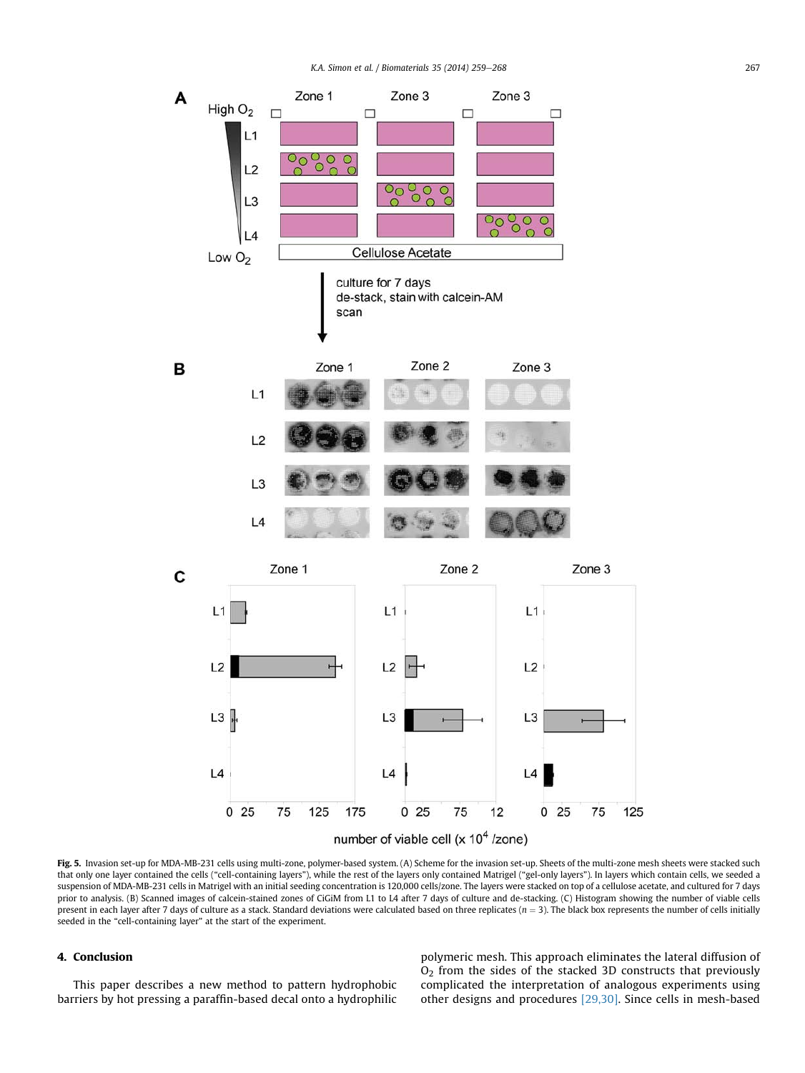<span id="page-8-0"></span>

Fig. 5. Invasion set-up for MDA-MB-231 cells using multi-zone, polymer-based system. (A) Scheme for the invasion set-up. Sheets of the multi-zone mesh sheets were stacked such that only one layer contained the cells ("cell-containing layers"), while the rest of the layers only contained Matrigel ("gel-only layers"). In layers which contain cells, we seeded a suspension of MDA-MB-231 cells in Matrigel with an initial seeding concentration is 120,000 cells/zone. The layers were stacked on top of a cellulose acetate, and cultured for 7 days prior to analysis. (B) Scanned images of calcein-stained zones of CiGiM from L1 to L4 after 7 days of culture and de-stacking. (C) Histogram showing the number of viable cells present in each layer after 7 days of culture as a stack. Standard deviations were calculated based on three replicates ( $n = 3$ ). The black box represents the number of cells initially seeded in the "cell-containing layer" at the start of the experiment.

# 4. Conclusion

This paper describes a new method to pattern hydrophobic barriers by hot pressing a paraffin-based decal onto a hydrophilic polymeric mesh. This approach eliminates the lateral diffusion of O2 from the sides of the stacked 3D constructs that previously complicated the interpretation of analogous experiments using other designs and procedures [\[29,30\]](#page-9-0). Since cells in mesh-based